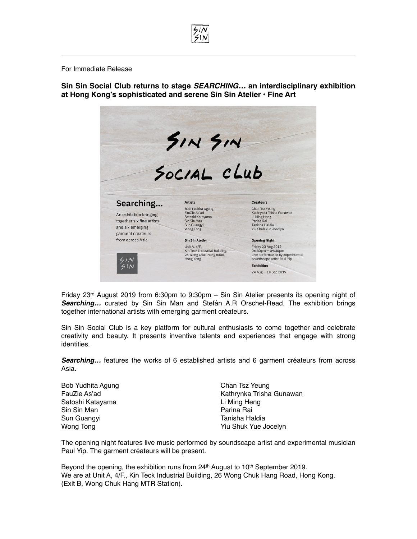For Immediate Release

**Sin Sin Social Club returns to stage** *SEARCHING…* **an interdisciplinary exhibition at Hong Kong's sophisticated and serene Sin Sin Atelier** • **Fine Art**



Friday 23rd August 2019 from 6:30pm to 9:30pm – Sin Sin Atelier presents its opening night of *Searching…* curated by Sin Sin Man and Stefán A.R Orschel-Read. The exhibition brings together international artists with emerging garment créateurs.

Sin Sin Social Club is a key platform for cultural enthusiasts to come together and celebrate creativity and beauty. It presents inventive talents and experiences that engage with strong identities.

**Searching...** features the works of 6 established artists and 6 garment créateurs from across Asia.

Bob Yudhita Agung FauZie As'ad Satoshi Katayama Sin Sin Man Sun Guangyi Wong Tong

Chan Tsz Yeung Kathrynka Trisha Gunawan Li Ming Heng Parina Rai Tanisha Haldia Yiu Shuk Yue Jocelyn

The opening night features live music performed by soundscape artist and experimental musician Paul Yip. The garment créateurs will be present.

Beyond the opening, the exhibition runs from  $24<sup>th</sup>$  August to 10<sup>th</sup> September 2019. We are at Unit A, 4/F., Kin Teck Industrial Building, 26 Wong Chuk Hang Road, Hong Kong. (Exit B, Wong Chuk Hang MTR Station).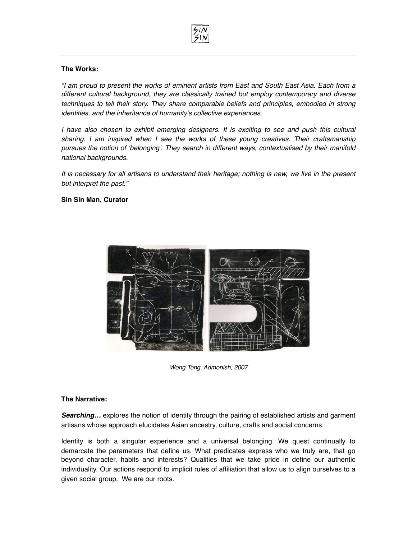

## **The Works:**

*"I am proud to present the works of eminent artists from East and South East Asia. Each from a different cultural background, they are classically trained but employ contemporary and diverse techniques to tell their story. They share comparable beliefs and principles, embodied in strong identities, and the inheritance of humanity's collective experiences.*

*I have also chosen to exhibit emerging designers. It is exciting to see and push this cultural sharing. I am inspired when I see the works of these young creatives. Their craftsmanship pursues the notion of 'belonging'. They search in different ways, contextualised by their manifold national backgrounds.* 

*It is necessary for all artisans to understand their heritage; nothing is new, we live in the present but interpret the past."*

## **Sin Sin Man, Curator**



*Wong Tong, Admonish, 2007*

## **The Narrative:**

**Searching...** explores the notion of identity through the pairing of established artists and garment artisans whose approach elucidates Asian ancestry, culture, crafts and social concerns.

Identity is both a singular experience and a universal belonging. We quest continually to demarcate the parameters that define us. What predicates express who we truly are, that go beyond character, habits and interests? Qualities that we take pride in define our authentic individuality. Our actions respond to implicit rules of affiliation that allow us to align ourselves to a given social group. We are our roots.